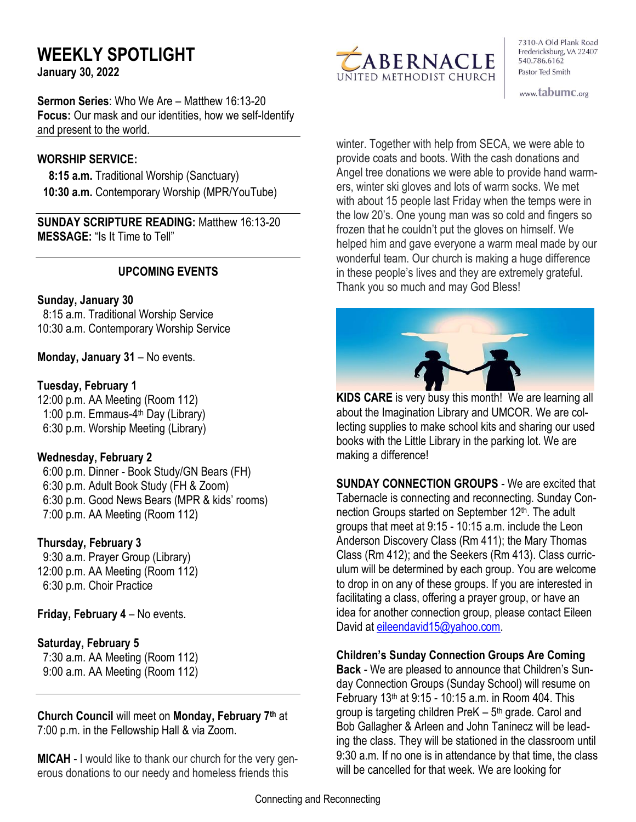# **WEEKLY SPOTLIGHT**

**January 30, 2022** 

**Sermon Series**: Who We Are – Matthew 16:13-20 **Focus:** Our mask and our identities, how we self-Identify and present to the world.

#### **WORSHIP SERVICE:**

 **8:15 a.m.** Traditional Worship (Sanctuary)  **10:30 a.m.** Contemporary Worship (MPR/YouTube)

**SUNDAY SCRIPTURE READING:** Matthew 16:13-20 **MESSAGE:** "Is It Time to Tell"

# **UPCOMING EVENTS**

# **Sunday, January 30**

 8:15 a.m. Traditional Worship Service 10:30 a.m. Contemporary Worship Service

**Monday, January 31** – No events.

# **Tuesday, February 1**

12:00 p.m. AA Meeting (Room 112) 1:00 p.m. Emmaus-4<sup>th</sup> Day (Library) 6:30 p.m. Worship Meeting (Library)

# **Wednesday, February 2**

 6:00 p.m. Dinner - Book Study/GN Bears (FH) 6:30 p.m. Adult Book Study (FH & Zoom) 6:30 p.m. Good News Bears (MPR & kids' rooms) 7:00 p.m. AA Meeting (Room 112)

# **Thursday, February 3**

9:30 a.m. Prayer Group (Library) 12:00 p.m. AA Meeting (Room 112) 6:30 p.m. Choir Practice

**Friday, February 4** – No events.

# **Saturday, February 5**

 7:30 a.m. AA Meeting (Room 112) 9:00 a.m. AA Meeting (Room 112)

**Church Council** will meet on **Monday, February 7 th** at 7:00 p.m. in the Fellowship Hall & via Zoom.

**MICAH** - I would like to thank our church for the very generous donations to our needy and homeless friends this



7310-A Old Plank Road Fredericksburg, VA 22407 540.786.6162 Pastor Ted Smith

www.tabumc.org

winter. Together with help from SECA, we were able to provide coats and boots. With the cash donations and Angel tree donations we were able to provide hand warmers, winter ski gloves and lots of warm socks. We met with about 15 people last Friday when the temps were in the low 20's. One young man was so cold and fingers so frozen that he couldn't put the gloves on himself. We helped him and gave everyone a warm meal made by our wonderful team. Our church is making a huge difference in these people's lives and they are extremely grateful. Thank you so much and may God Bless!



**KIDS CARE** is very busy this month! We are learning all about the Imagination Library and UMCOR. We are collecting supplies to make school kits and sharing our used books with the Little Library in the parking lot. We are making a difference!

**SUNDAY CONNECTION GROUPS** - We are excited that Tabernacle is connecting and reconnecting. Sunday Connection Groups started on September 12<sup>th</sup>. The adult groups that meet at 9:15 - 10:15 a.m. include the Leon Anderson Discovery Class (Rm 411); the Mary Thomas Class (Rm 412); and the Seekers (Rm 413). Class curriculum will be determined by each group. You are welcome to drop in on any of these groups. If you are interested in facilitating a class, offering a prayer group, or have an idea for another connection group, please contact Eileen David at [eileendavid15@yahoo.com.](mailto:eileendavid15@yahoo.com)

#### **Children's Sunday Connection Groups Are Coming**

**Back** - We are pleased to announce that Children's Sunday Connection Groups (Sunday School) will resume on February 13th at 9:15 - 10:15 a.m. in Room 404. This group is targeting children PreK – 5<sup>th</sup> grade. Carol and Bob Gallagher & Arleen and John Taninecz will be leading the class. They will be stationed in the classroom until 9:30 a.m. If no one is in attendance by that time, the class will be cancelled for that week. We are looking for